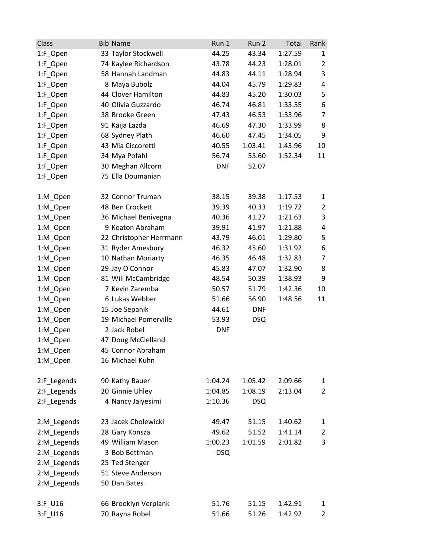| Class       | <b>Bib Name</b>         | Run 1      | Run 2      | Total   | Rank           |
|-------------|-------------------------|------------|------------|---------|----------------|
| 1:F_Open    | 33 Taylor Stockwell     | 44.25      | 43.34      | 1:27.59 | 1              |
| 1:F_Open    | 74 Kaylee Richardson    | 43.78      | 44.23      | 1:28.01 | $\overline{2}$ |
| 1:F_Open    | 58 Hannah Landman       | 44.83      | 44.11      | 1:28.94 | 3              |
| 1:F_Open    | 8 Maya Bubolz           | 44.04      | 45.79      | 1:29.83 | 4              |
| 1:F_Open    | 44 Clover Hamilton      | 44.83      | 45.20      | 1:30.03 | 5              |
| 1:F_Open    | 40 Olivia Guzzardo      | 46.74      | 46.81      | 1:33.55 | 6              |
| 1:F_Open    | 38 Brooke Green         | 47.43      | 46.53      | 1:33.96 | $\overline{7}$ |
| 1:F_Open    | 91 Kaija Lazda          | 46.69      | 47.30      | 1:33.99 | 8              |
| 1:F_Open    | 68 Sydney Plath         | 46.60      | 47.45      | 1:34.05 | 9              |
| 1:F_Open    | 43 Mia Ciccoretti       | 40.55      | 1:03.41    | 1:43.96 | 10             |
| 1:F_Open    | 34 Mya Pofahl           | 56.74      | 55.60      | 1:52.34 | 11             |
| 1:F_Open    | 30 Meghan Allcorn       | <b>DNF</b> | 52.07      |         |                |
| 1:F_Open    | 75 Ella Doumanian       |            |            |         |                |
| 1:M_Open    | 32 Connor Truman        | 38.15      | 39.38      | 1:17.53 | 1              |
| 1:M_Open    | 48 Ben Crockett         | 39.39      | 40.33      | 1:19.72 | 2              |
| 1:M_Open    | 36 Michael Benivegna    | 40.36      | 41.27      | 1:21.63 | 3              |
| 1:M_Open    | 9 Keaton Abraham        | 39.91      | 41.97      | 1:21.88 | 4              |
| 1:M_Open    | 22 Christopher Herrmann | 43.79      | 46.01      | 1:29.80 | 5              |
| 1:M_Open    | 31 Ryder Amesbury       | 46.32      | 45.60      | 1:31.92 | 6              |
| 1:M_Open    | 10 Nathan Moriarty      | 46.35      | 46.48      | 1:32.83 | $\overline{7}$ |
| 1:M_Open    | 29 Jay O'Connor         | 45.83      | 47.07      | 1:32.90 | 8              |
| 1:M_Open    | 81 Will McCambridge     | 48.54      | 50.39      | 1:38.93 | 9              |
| 1:M_Open    | 7 Kevin Zaremba         | 50.57      | 51.79      | 1:42.36 | 10             |
| 1:M_Open    | 6 Lukas Webber          | 51.66      | 56.90      | 1:48.56 | 11             |
| 1:M_Open    | 15 Joe Sepanik          | 44.61      | <b>DNF</b> |         |                |
| 1:M_Open    | 19 Michael Pomerville   | 53.93      | <b>DSQ</b> |         |                |
| 1:M_Open    | 2 Jack Robel            | <b>DNF</b> |            |         |                |
| 1:M_Open    | 47 Doug McClelland      |            |            |         |                |
| 1:M_Open    | 45 Connor Abraham       |            |            |         |                |
| 1:M Open    | 16 Michael Kuhn         |            |            |         |                |
| 2:F_Legends | 90 Kathy Bauer          | 1:04.24    | 1:05.42    | 2:09.66 | 1              |
| 2:F_Legends | 20 Ginnie Uhley         | 1:04.85    | 1:08.19    | 2:13.04 | $\overline{2}$ |
| 2:F_Legends | 4 Nancy Jaiyesimi       | 1:10.36    | <b>DSQ</b> |         |                |
| 2:M_Legends | 23 Jacek Cholewicki     | 49.47      | 51.15      | 1:40.62 | 1              |
| 2:M_Legends | 28 Gary Konsza          | 49.62      | 51.52      | 1:41.14 | 2              |
| 2:M_Legends | 49 William Mason        | 1:00.23    | 1:01.59    | 2:01.82 | 3              |
| 2:M_Legends | 3 Bob Bettman           | <b>DSQ</b> |            |         |                |
| 2:M_Legends | 25 Ted Stenger          |            |            |         |                |
| 2:M_Legends | 51 Steve Anderson       |            |            |         |                |
| 2:M_Legends | 50 Dan Bates            |            |            |         |                |
| 3:F_U16     | 66 Brooklyn Verplank    | 51.76      | 51.15      | 1:42.91 | 1              |
| 3:F_U16     | 70 Rayna Robel          | 51.66      | 51.26      | 1:42.92 | $\overline{2}$ |